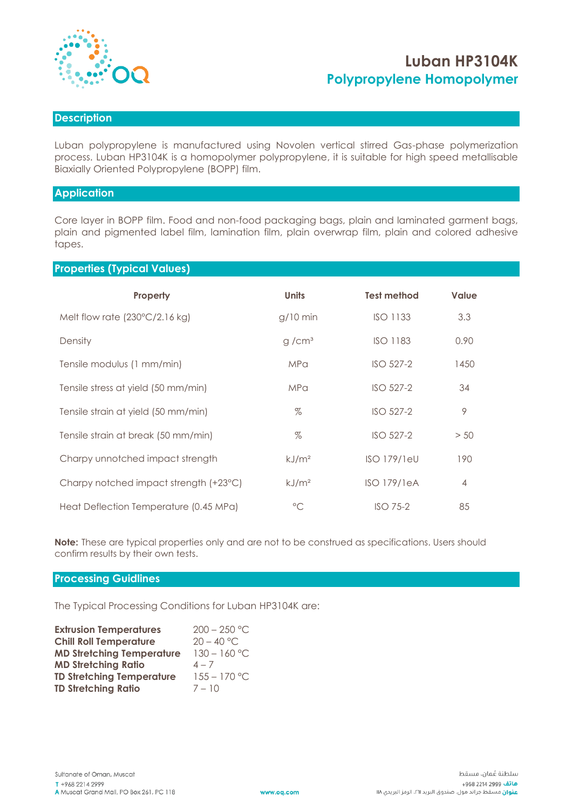

# **Luban HP3104K Polypropylene Homopolymer**

## **Description**

Luban polypropylene is manufactured using Novolen vertical stirred Gas-phase polymerization process. Luban HP3104K is a homopolymer polypropylene, it is suitable for high speed metallisable Biaxially Oriented Polypropylene (BOPP) film.

#### **Application**

Core layer in BOPP film. Food and non-food packaging bags, plain and laminated garment bags, plain and pigmented label film, lamination film, plain overwrap film, plain and colored adhesive tapes.

#### **Properties (Typical Values)**

| Property                                | <b>Units</b>      | <b>Test method</b> | <b>Value</b>   |
|-----------------------------------------|-------------------|--------------------|----------------|
| Melt flow rate $(230^{\circ}C/2.16$ kg) | $g/10$ min        | <b>ISO 1133</b>    | 3.3            |
| Density                                 | g/cm <sup>3</sup> | <b>ISO 1183</b>    | 0.90           |
| Tensile modulus (1 mm/min)              | <b>MPa</b>        | ISO 527-2          | 1450           |
| Tensile stress at yield (50 mm/min)     | <b>MPa</b>        | <b>ISO 527-2</b>   | 34             |
| Tensile strain at yield (50 mm/min)     | $\%$              | ISO 527-2          | 9              |
| Tensile strain at break (50 mm/min)     | $\%$              | ISO 527-2          | > 50           |
| Charpy unnotched impact strength        | kJ/m <sup>2</sup> | <b>ISO 179/1eU</b> | 190            |
| Charpy notched impact strength (+23°C)  | kJ/m <sup>2</sup> | <b>ISO 179/1eA</b> | $\overline{4}$ |
| Heat Deflection Temperature (0.45 MPa)  | $\rm ^{\circ}C$   | $ISO$ 75-2         | 85             |

**Note:** These are typical properties only and are not to be construed as specifications. Users should confirm results by their own tests.

#### **Processing Guidlines**

The Typical Processing Conditions for Luban HP3104K are:

| <b>Extrusion Temperatures</b>    | $200 - 250$ °C |
|----------------------------------|----------------|
| <b>Chill Roll Temperature</b>    | $20 - 40$ °C.  |
| <b>MD Stretching Temperature</b> | $130 - 160$ °C |
| <b>MD Stretching Ratio</b>       | $4 - 7$        |
| <b>TD Stretching Temperature</b> | $155 - 170$ °C |
| <b>TD Stretching Ratio</b>       | $7 - 10$       |
|                                  |                |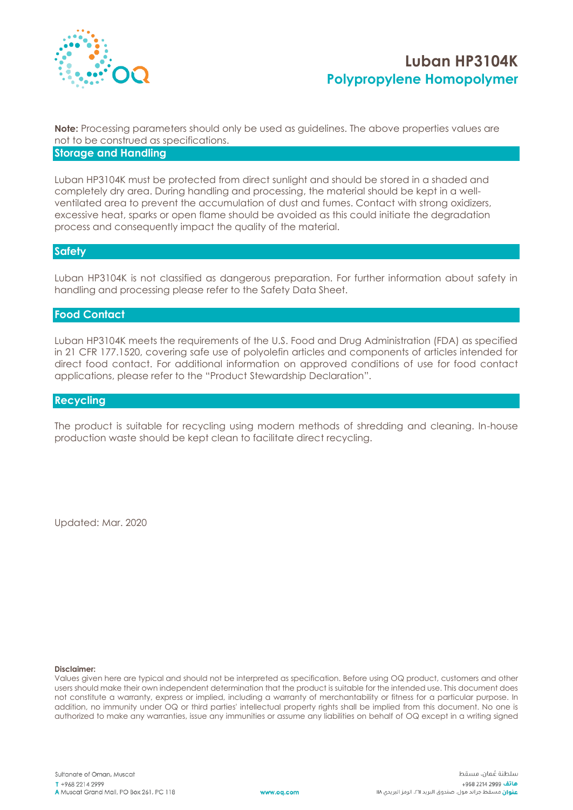

# **Luban HP3104K Polypropylene Homopolymer**

**Note:** Processing parameters should only be used as guidelines. The above properties values are not to be construed as specifications.

### **Storage and Handling**

Luban HP3104K must be protected from direct sunlight and should be stored in a shaded and completely dry area. During handling and processing, the material should be kept in a wellventilated area to prevent the accumulation of dust and fumes. Contact with strong oxidizers, excessive heat, sparks or open flame should be avoided as this could initiate the degradation process and consequently impact the quality of the material.

#### **Safety**

Luban HP3104K is not classified as dangerous preparation. For further information about safety in handling and processing please refer to the Safety Data Sheet.

### **Food Contact**

Luban HP3104K meets the requirements of the U.S. Food and Drug Administration (FDA) as specified in 21 CFR 177.1520, covering safe use of polyolefin articles and components of articles intended for direct food contact. For additional information on approved conditions of use for food contact applications, please refer to the "Product Stewardship Declaration".

## **Recycling**

The product is suitable for recycling using modern methods of shredding and cleaning. In-house production waste should be kept clean to facilitate direct recycling.

Updated: Mar. 2020

#### **Disclaimer:**

Values given here are typical and should not be interpreted as specification. Before using OQ product, customers and other users should make their own independent determination that the product is suitable for the intended use. This document does not constitute a warranty, express or implied, including a warranty of merchantability or fitness for a particular purpose. In addition, no immunity under OQ or third parties' intellectual property rights shall be implied from this document. No one is authorized to make any warranties, issue any immunities or assume any liabilities on behalf of OQ except in a writing signed